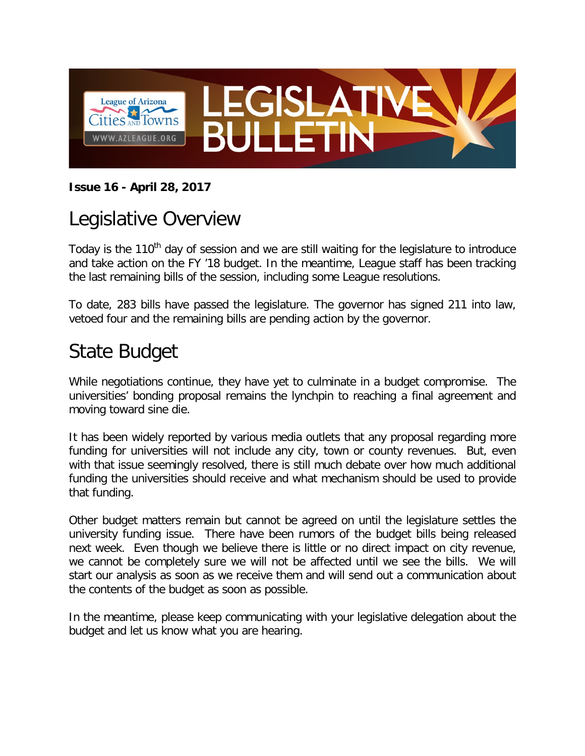

#### **Issue 16 - April 28, 2017**

#### Legislative Overview

Today is the 110<sup>th</sup> day of session and we are still waiting for the legislature to introduce and take action on the FY '18 budget. In the meantime, League staff has been tracking the last remaining bills of the session, including some League resolutions.

To date, 283 bills have passed the legislature. The governor has signed 211 into law, vetoed four and the remaining bills are pending action by the governor.

## State Budget

While negotiations continue, they have yet to culminate in a budget compromise. The universities' bonding proposal remains the lynchpin to reaching a final agreement and moving toward sine die.

It has been widely reported by various media outlets that any proposal regarding more funding for universities will not include any city, town or county revenues. But, even with that issue seemingly resolved, there is still much debate over how much additional funding the universities should receive and what mechanism should be used to provide that funding.

Other budget matters remain but cannot be agreed on until the legislature settles the university funding issue. There have been rumors of the budget bills being released next week. Even though we believe there is little or no direct impact on city revenue, we cannot be completely sure we will not be affected until we see the bills. We will start our analysis as soon as we receive them and will send out a communication about the contents of the budget as soon as possible.

In the meantime, please keep communicating with your legislative delegation about the budget and let us know what you are hearing.